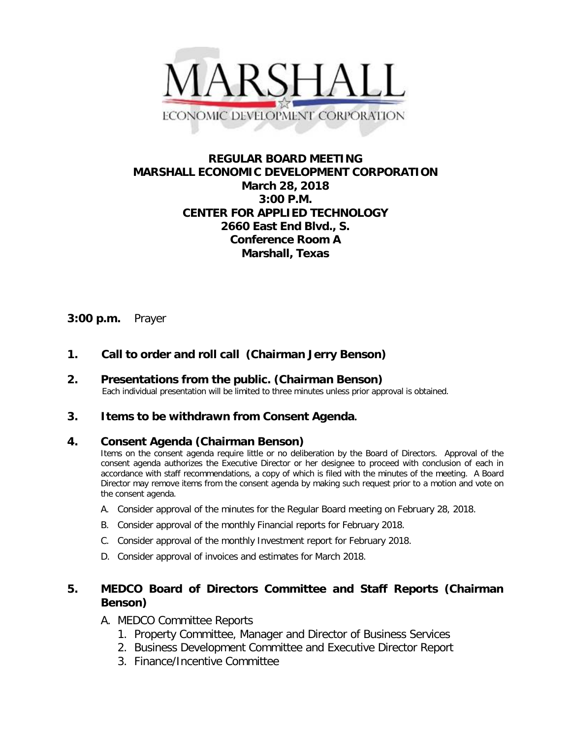

## **REGULAR BOARD MEETING MARSHALL ECONOMIC DEVELOPMENT CORPORATION March 28, 2018 3:00 P.M. CENTER FOR APPLIED TECHNOLOGY 2660 East End Blvd., S. Conference Room A Marshall, Texas**

### **3:00 p.m.** Prayer

# **1. Call to order and roll call (Chairman Jerry Benson)**

**2. Presentations from the public. (Chairman Benson)**<br>Each individual presentation will be limited to three minutes unless prior approval is obtained.

### **3. Items to be withdrawn from Consent Agenda.**

### **4. Consent Agenda (Chairman Benson)**

Items on the consent agenda require little or no deliberation by the Board of Directors. Approval of the consent agenda authorizes the Executive Director or her designee to proceed with conclusion of each in accordance with staff recommendations, a copy of which is filed with the minutes of the meeting. A Board Director may remove items from the consent agenda by making such request prior to a motion and vote on the consent agenda.

- A. Consider approval of the minutes for the Regular Board meeting on February 28, 2018.
- B. Consider approval of the monthly Financial reports for February 2018.
- C. Consider approval of the monthly Investment report for February 2018.
- D. Consider approval of invoices and estimates for March 2018.

## **5. MEDCO Board of Directors Committee and Staff Reports (Chairman Benson)**

- A. MEDCO Committee Reports
	- 1. Property Committee, Manager and Director of Business Services
	- 2. Business Development Committee and Executive Director Report
	- 3. Finance/Incentive Committee